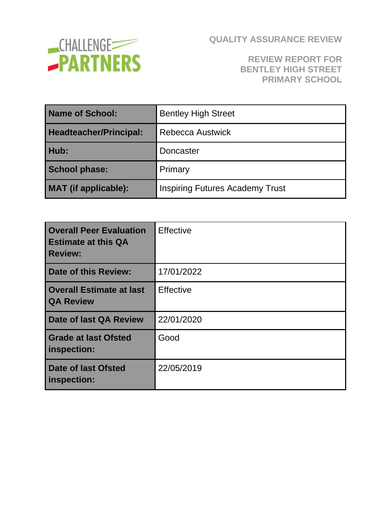

#### **REVIEW REPORT FOR BENTLEY HIGH STREET PRIMARY SCHOOL**

| <b>Name of School:</b>        | <b>Bentley High Street</b>             |
|-------------------------------|----------------------------------------|
| <b>Headteacher/Principal:</b> | Rebecca Austwick                       |
| Hub:                          | Doncaster                              |
| <b>School phase:</b>          | Primary                                |
| <b>MAT</b> (if applicable):   | <b>Inspiring Futures Academy Trust</b> |

| <b>Overall Peer Evaluation</b><br><b>Estimate at this QA</b><br><b>Review:</b> | <b>Effective</b> |
|--------------------------------------------------------------------------------|------------------|
| Date of this Review:                                                           | 17/01/2022       |
| <b>Overall Estimate at last</b><br><b>QA Review</b>                            | <b>Effective</b> |
| Date of last QA Review                                                         | 22/01/2020       |
| <b>Grade at last Ofsted</b><br>inspection:                                     | Good             |
| <b>Date of last Ofsted</b><br>inspection:                                      | 22/05/2019       |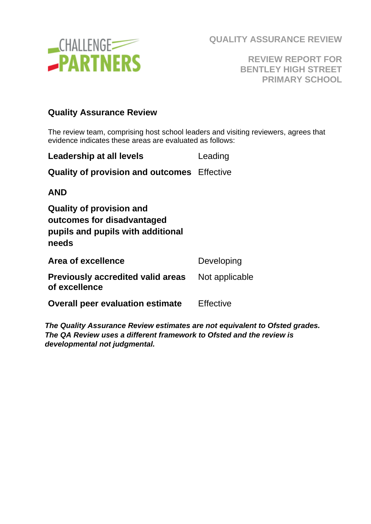

**REVIEW REPORT FOR BENTLEY HIGH STREET PRIMARY SCHOOL**

#### **Quality Assurance Review**

The review team, comprising host school leaders and visiting reviewers, agrees that evidence indicates these areas are evaluated as follows:

| <b>Leadership at all levels</b>                                                                             | Leading       |
|-------------------------------------------------------------------------------------------------------------|---------------|
| <b>Quality of provision and outcomes</b> Effective                                                          |               |
| AND                                                                                                         |               |
| <b>Quality of provision and</b><br>outcomes for disadvantaged<br>pupils and pupils with additional<br>needs |               |
| <b>Area of excellence</b>                                                                                   | Developing    |
| Droviaugh: cooredited volid erece                                                                           | Nlat annliagh |

| <b>Previously accredited valid areas</b> Not applicable<br>of excellence |           |
|--------------------------------------------------------------------------|-----------|
| <b>Overall peer evaluation estimate</b>                                  | Effective |

*The Quality Assurance Review estimates are not equivalent to Ofsted grades. The QA Review uses a different framework to Ofsted and the review is developmental not judgmental.*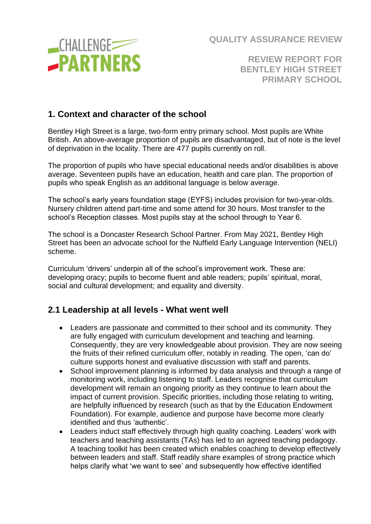

**REVIEW REPORT FOR BENTLEY HIGH STREET PRIMARY SCHOOL**

#### **1. Context and character of the school**

Bentley High Street is a large, two-form entry primary school. Most pupils are White British. An above-average proportion of pupils are disadvantaged, but of note is the level of deprivation in the locality. There are 477 pupils currently on roll.

The proportion of pupils who have special educational needs and/or disabilities is above average. Seventeen pupils have an education, health and care plan. The proportion of pupils who speak English as an additional language is below average.

The school's early years foundation stage (EYFS) includes provision for two-year-olds. Nursery children attend part-time and some attend for 30 hours. Most transfer to the school's Reception classes. Most pupils stay at the school through to Year 6.

The school is a Doncaster Research School Partner. From May 2021, Bentley High Street has been an advocate school for the Nuffield Early Language Intervention (NELI) scheme.

Curriculum 'drivers' underpin all of the school's improvement work. These are: developing oracy; pupils to become fluent and able readers; pupils' spiritual, moral, social and cultural development; and equality and diversity.

#### **2.1 Leadership at all levels - What went well**

- Leaders are passionate and committed to their school and its community. They are fully engaged with curriculum development and teaching and learning. Consequently, they are very knowledgeable about provision. They are now seeing the fruits of their refined curriculum offer, notably in reading. The open, 'can do' culture supports honest and evaluative discussion with staff and parents.
- School improvement planning is informed by data analysis and through a range of monitoring work, including listening to staff. Leaders recognise that curriculum development will remain an ongoing priority as they continue to learn about the impact of current provision. Specific priorities, including those relating to writing, are helpfully influenced by research (such as that by the Education Endowment Foundation). For example, audience and purpose have become more clearly identified and thus 'authentic'.
- Leaders induct staff effectively through high quality coaching. Leaders' work with teachers and teaching assistants (TAs) has led to an agreed teaching pedagogy. A teaching toolkit has been created which enables coaching to develop effectively between leaders and staff. Staff readily share examples of strong practice which helps clarify what 'we want to see' and subsequently how effective identified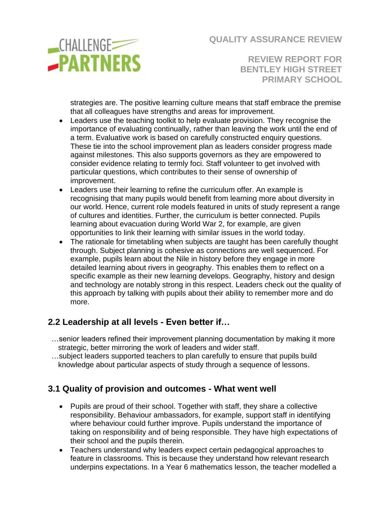

**REVIEW REPORT FOR BENTLEY HIGH STREET PRIMARY SCHOOL**

strategies are. The positive learning culture means that staff embrace the premise that all colleagues have strengths and areas for improvement.

- Leaders use the teaching toolkit to help evaluate provision. They recognise the importance of evaluating continually, rather than leaving the work until the end of a term. Evaluative work is based on carefully constructed enquiry questions. These tie into the school improvement plan as leaders consider progress made against milestones. This also supports governors as they are empowered to consider evidence relating to termly foci. Staff volunteer to get involved with particular questions, which contributes to their sense of ownership of improvement.
- Leaders use their learning to refine the curriculum offer. An example is recognising that many pupils would benefit from learning more about diversity in our world. Hence, current role models featured in units of study represent a range of cultures and identities. Further, the curriculum is better connected. Pupils learning about evacuation during World War 2, for example, are given opportunities to link their learning with similar issues in the world today.
- The rationale for timetabling when subjects are taught has been carefully thought through. Subject planning is cohesive as connections are well sequenced. For example, pupils learn about the Nile in history before they engage in more detailed learning about rivers in geography. This enables them to reflect on a specific example as their new learning develops. Geography, history and design and technology are notably strong in this respect. Leaders check out the quality of this approach by talking with pupils about their ability to remember more and do more.

## **2.2 Leadership at all levels - Even better if…**

- …senior leaders refined their improvement planning documentation by making it more strategic, better mirroring the work of leaders and wider staff.
- …subject leaders supported teachers to plan carefully to ensure that pupils build knowledge about particular aspects of study through a sequence of lessons.

#### **3.1 Quality of provision and outcomes - What went well**

- Pupils are proud of their school. Together with staff, they share a collective responsibility. Behaviour ambassadors, for example, support staff in identifying where behaviour could further improve. Pupils understand the importance of taking on responsibility and of being responsible. They have high expectations of their school and the pupils therein.
- Teachers understand why leaders expect certain pedagogical approaches to feature in classrooms. This is because they understand how relevant research underpins expectations. In a Year 6 mathematics lesson, the teacher modelled a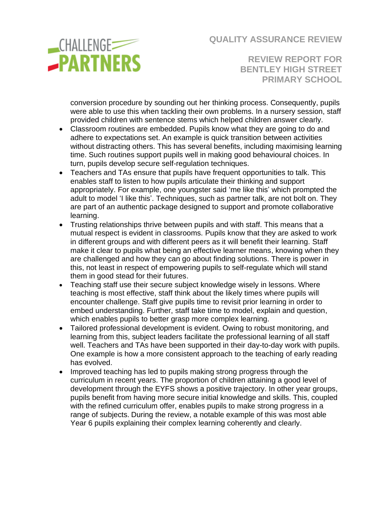

**REVIEW REPORT FOR BENTLEY HIGH STREET PRIMARY SCHOOL**

conversion procedure by sounding out her thinking process. Consequently, pupils were able to use this when tackling their own problems. In a nursery session, staff provided children with sentence stems which helped children answer clearly.

- Classroom routines are embedded. Pupils know what they are going to do and adhere to expectations set. An example is quick transition between activities without distracting others. This has several benefits, including maximising learning time. Such routines support pupils well in making good behavioural choices. In turn, pupils develop secure self-regulation techniques.
- Teachers and TAs ensure that pupils have frequent opportunities to talk. This enables staff to listen to how pupils articulate their thinking and support appropriately. For example, one youngster said 'me like this' which prompted the adult to model 'I like this'. Techniques, such as partner talk, are not bolt on. They are part of an authentic package designed to support and promote collaborative learning.
- Trusting relationships thrive between pupils and with staff. This means that a mutual respect is evident in classrooms. Pupils know that they are asked to work in different groups and with different peers as it will benefit their learning. Staff make it clear to pupils what being an effective learner means, knowing when they are challenged and how they can go about finding solutions. There is power in this, not least in respect of empowering pupils to self-regulate which will stand them in good stead for their futures.
- Teaching staff use their secure subject knowledge wisely in lessons. Where teaching is most effective, staff think about the likely times where pupils will encounter challenge. Staff give pupils time to revisit prior learning in order to embed understanding. Further, staff take time to model, explain and question, which enables pupils to better grasp more complex learning.
- Tailored professional development is evident. Owing to robust monitoring, and learning from this, subject leaders facilitate the professional learning of all staff well. Teachers and TAs have been supported in their day-to-day work with pupils. One example is how a more consistent approach to the teaching of early reading has evolved.
- Improved teaching has led to pupils making strong progress through the curriculum in recent years. The proportion of children attaining a good level of development through the EYFS shows a positive trajectory. In other year groups, pupils benefit from having more secure initial knowledge and skills. This, coupled with the refined curriculum offer, enables pupils to make strong progress in a range of subjects. During the review, a notable example of this was most able Year 6 pupils explaining their complex learning coherently and clearly.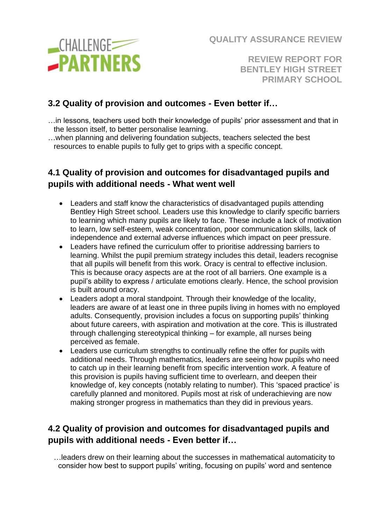**CHALLENGE -PARTNERS**  **QUALITY ASSURANCE REVIEW**

**REVIEW REPORT FOR BENTLEY HIGH STREET PRIMARY SCHOOL**

# **3.2 Quality of provision and outcomes - Even better if…**

- …in lessons, teachers used both their knowledge of pupils' prior assessment and that in the lesson itself, to better personalise learning.
- …when planning and delivering foundation subjects, teachers selected the best resources to enable pupils to fully get to grips with a specific concept.

## **4.1 Quality of provision and outcomes for disadvantaged pupils and pupils with additional needs - What went well**

- Leaders and staff know the characteristics of disadvantaged pupils attending Bentley High Street school. Leaders use this knowledge to clarify specific barriers to learning which many pupils are likely to face. These include a lack of motivation to learn, low self-esteem, weak concentration, poor communication skills, lack of independence and external adverse influences which impact on peer pressure.
- Leaders have refined the curriculum offer to prioritise addressing barriers to learning. Whilst the pupil premium strategy includes this detail, leaders recognise that all pupils will benefit from this work. Oracy is central to effective inclusion. This is because oracy aspects are at the root of all barriers. One example is a pupil's ability to express / articulate emotions clearly. Hence, the school provision is built around oracy.
- Leaders adopt a moral standpoint. Through their knowledge of the locality, leaders are aware of at least one in three pupils living in homes with no employed adults. Consequently, provision includes a focus on supporting pupils' thinking about future careers, with aspiration and motivation at the core. This is illustrated through challenging stereotypical thinking – for example, all nurses being perceived as female.
- Leaders use curriculum strengths to continually refine the offer for pupils with additional needs. Through mathematics, leaders are seeing how pupils who need to catch up in their learning benefit from specific intervention work. A feature of this provision is pupils having sufficient time to overlearn, and deepen their knowledge of, key concepts (notably relating to number). This 'spaced practice' is carefully planned and monitored. Pupils most at risk of underachieving are now making stronger progress in mathematics than they did in previous years.

## **4.2 Quality of provision and outcomes for disadvantaged pupils and pupils with additional needs - Even better if…**

…leaders drew on their learning about the successes in mathematical automaticity to consider how best to support pupils' writing, focusing on pupils' word and sentence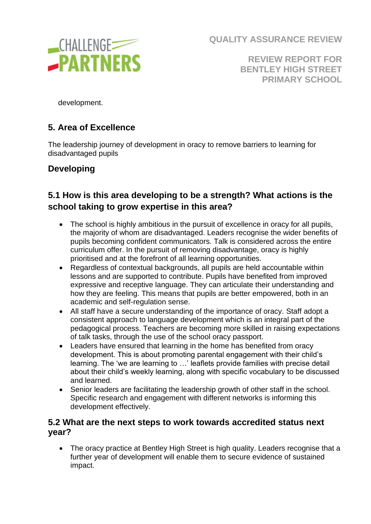

**REVIEW REPORT FOR BENTLEY HIGH STREET PRIMARY SCHOOL**

development.

# **5. Area of Excellence**

The leadership journey of development in oracy to remove barriers to learning for disadvantaged pupils

## **Developing**

## **5.1 How is this area developing to be a strength? What actions is the school taking to grow expertise in this area?**

- The school is highly ambitious in the pursuit of excellence in oracy for all pupils, the majority of whom are disadvantaged. Leaders recognise the wider benefits of pupils becoming confident communicators. Talk is considered across the entire curriculum offer. In the pursuit of removing disadvantage, oracy is highly prioritised and at the forefront of all learning opportunities.
- Regardless of contextual backgrounds, all pupils are held accountable within lessons and are supported to contribute. Pupils have benefited from improved expressive and receptive language. They can articulate their understanding and how they are feeling. This means that pupils are better empowered, both in an academic and self-regulation sense.
- All staff have a secure understanding of the importance of oracy. Staff adopt a consistent approach to language development which is an integral part of the pedagogical process. Teachers are becoming more skilled in raising expectations of talk tasks, through the use of the school oracy passport.
- Leaders have ensured that learning in the home has benefited from oracy development. This is about promoting parental engagement with their child's learning. The 'we are learning to …' leaflets provide families with precise detail about their child's weekly learning, along with specific vocabulary to be discussed and learned.
- Senior leaders are facilitating the leadership growth of other staff in the school. Specific research and engagement with different networks is informing this development effectively.

#### **5.2 What are the next steps to work towards accredited status next year?**

• The oracy practice at Bentley High Street is high quality. Leaders recognise that a further year of development will enable them to secure evidence of sustained impact.